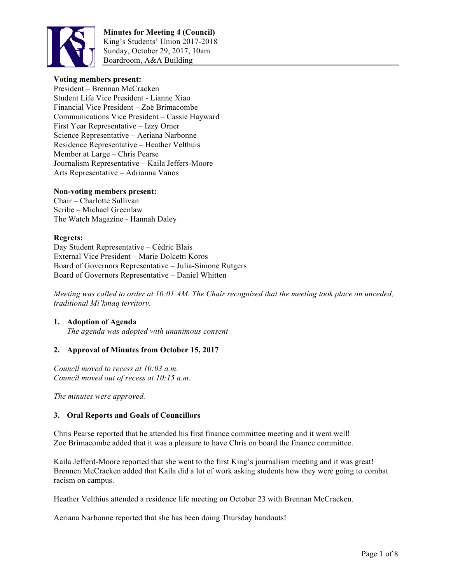

## **Voting members present:**

President – Brennan McCracken Student Life Vice President - Lianne Xiao Financial Vice President – Zoë Brimacombe Communications Vice President – Cassie Hayward First Year Representative – Izzy Orner Science Representative – Aeriana Narbonne Residence Representative – Heather Velthuis Member at Large – Chris Pearse Journalism Representative – Kaila Jeffers-Moore Arts Representative – Adrianna Vanos

#### **Non-voting members present:**

Chair – Charlotte Sullivan Scribe – Michael Greenlaw The Watch Magazine - Hannah Daley

#### **Regrets:**

Day Student Representative – Cédric Blais External Vice President – Marie Dolcetti Koros Board of Governors Representative – Julia-Simone Rutgers Board of Governors Representative – Daniel Whitten

*Meeting was called to order at 10:01 AM. The Chair recognized that the meeting took place on unceded, traditional Mi'kmaq territory.*

# **1. Adoption of Agenda**

*The agenda was adopted with unanimous consent*

#### **2. Approval of Minutes from October 15, 2017**

*Council moved to recess at 10:03 a.m. Council moved out of recess at 10:15 a.m.*

*The minutes were approved.*

#### **3. Oral Reports and Goals of Councillors**

Chris Pearse reported that he attended his first finance committee meeting and it went well! Zoe Brimacombe added that it was a pleasure to have Chris on board the finance committee.

Kaila Jefferd-Moore reported that she went to the first King's journalism meeting and it was great! Brennen McCracken added that Kaila did a lot of work asking students how they were going to combat racism on campus.

Heather Velthius attended a residence life meeting on October 23 with Brennan McCracken.

Aeriana Narbonne reported that she has been doing Thursday handouts!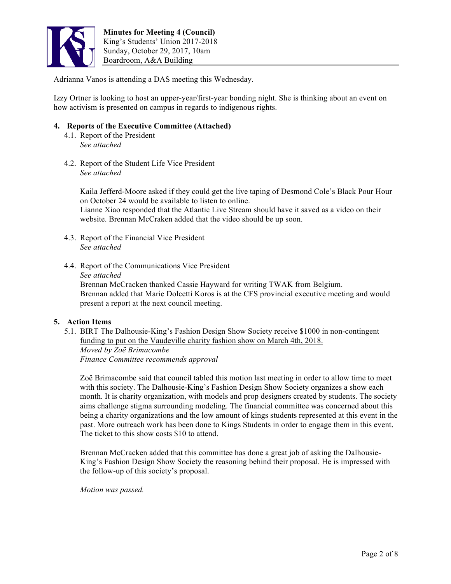

Adrianna Vanos is attending a DAS meeting this Wednesday.

Izzy Ortner is looking to host an upper-year/first-year bonding night. She is thinking about an event on how activism is presented on campus in regards to indigenous rights.

## **4. Reports of the Executive Committee (Attached)**

- 4.1. Report of the President *See attached*
- 4.2. Report of the Student Life Vice President *See attached*

Kaila Jefferd-Moore asked if they could get the live taping of Desmond Cole's Black Pour Hour on October 24 would be available to listen to online. Lianne Xiao responded that the Atlantic Live Stream should have it saved as a video on their website. Brennan McCraken added that the video should be up soon.

- 4.3. Report of the Financial Vice President *See attached*
- 4.4. Report of the Communications Vice President *See attached* Brennan McCracken thanked Cassie Hayward for writing TWAK from Belgium. Brennan added that Marie Dolcetti Koros is at the CFS provincial executive meeting and would present a report at the next council meeting.

#### **5. Action Items**

5.1. BIRT The Dalhousie-King's Fashion Design Show Society receive \$1000 in non-contingent funding to put on the Vaudeville charity fashion show on March 4th, 2018. *Moved by Zoë Brimacombe Finance Committee recommends approval*

Zoë Brimacombe said that council tabled this motion last meeting in order to allow time to meet with this society. The Dalhousie-King's Fashion Design Show Society organizes a show each month. It is charity organization, with models and prop designers created by students. The society aims challenge stigma surrounding modeling. The financial committee was concerned about this being a charity organizations and the low amount of kings students represented at this event in the past. More outreach work has been done to Kings Students in order to engage them in this event. The ticket to this show costs \$10 to attend.

Brennan McCracken added that this committee has done a great job of asking the Dalhousie-King's Fashion Design Show Society the reasoning behind their proposal. He is impressed with the follow-up of this society's proposal.

*Motion was passed.*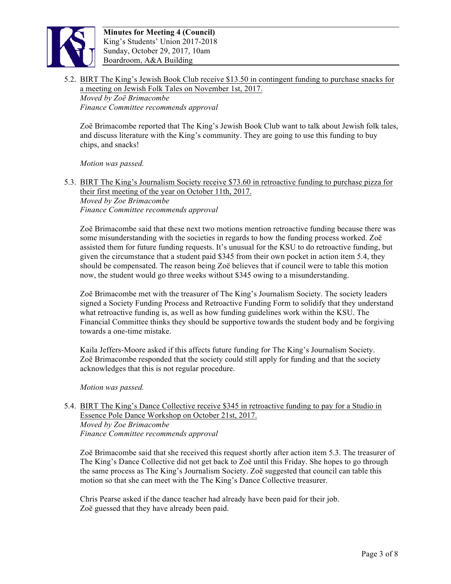

5.2. BIRT The King's Jewish Book Club receive \$13.50 in contingent funding to purchase snacks for a meeting on Jewish Folk Tales on November 1st, 2017. *Moved by Zoë Brimacombe Finance Committee recommends approval*

Zoë Brimacombe reported that The King's Jewish Book Club want to talk about Jewish folk tales, and discuss literature with the King's community. They are going to use this funding to buy chips, and snacks!

*Motion was passed.*

5.3. BIRT The King's Journalism Society receive \$73.60 in retroactive funding to purchase pizza for their first meeting of the year on October 11th, 2017.

*Moved by Zoe Brimacombe Finance Committee recommends approval*

Zoë Brimacombe said that these next two motions mention retroactive funding because there was some misunderstanding with the societies in regards to how the funding process worked. Zoë assisted them for future funding requests. It's unusual for the KSU to do retroactive funding, but given the circumstance that a student paid \$345 from their own pocket in action item 5.4, they should be compensated. The reason being Zoë believes that if council were to table this motion now, the student would go three weeks without \$345 owing to a misunderstanding.

Zoë Brimacombe met with the treasurer of The King's Journalism Society. The society leaders signed a Society Funding Process and Retroactive Funding Form to solidify that they understand what retroactive funding is, as well as how funding guidelines work within the KSU. The Financial Committee thinks they should be supportive towards the student body and be forgiving towards a one-time mistake.

Kaila Jeffers-Moore asked if this affects future funding for The King's Journalism Society. Zoë Brimacombe responded that the society could still apply for funding and that the society acknowledges that this is not regular procedure.

*Motion was passed.* 

5.4. BIRT The King's Dance Collective receive \$345 in retroactive funding to pay for a Studio in Essence Pole Dance Workshop on October 21st, 2017. *Moved by Zoe Brimacombe Finance Committee recommends approval*

Zoë Brimacombe said that she received this request shortly after action item 5.3. The treasurer of The King's Dance Collective did not get back to Zoë until this Friday. She hopes to go through the same process as The King's Journalism Society. Zoë suggested that council can table this motion so that she can meet with the The King's Dance Collective treasurer.

Chris Pearse asked if the dance teacher had already have been paid for their job. Zoë guessed that they have already been paid.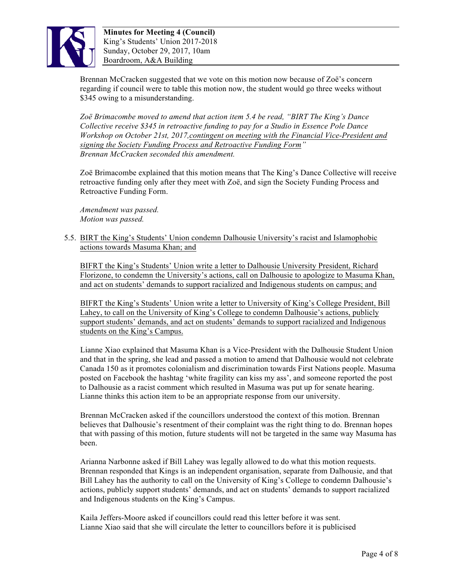

Brennan McCracken suggested that we vote on this motion now because of Zoë's concern regarding if council were to table this motion now, the student would go three weeks without \$345 owing to a misunderstanding.

*Zoë Brimacombe moved to amend that action item 5.4 be read, "BIRT The King's Dance Collective receive \$345 in retroactive funding to pay for a Studio in Essence Pole Dance Workshop on October 21st, 2017,contingent on meeting with the Financial Vice-President and signing the Society Funding Process and Retroactive Funding Form" Brennan McCracken seconded this amendment.*

Zoë Brimacombe explained that this motion means that The King's Dance Collective will receive retroactive funding only after they meet with Zoë, and sign the Society Funding Process and Retroactive Funding Form.

*Amendment was passed. Motion was passed.*

5.5. BIRT the King's Students' Union condemn Dalhousie University's racist and Islamophobic actions towards Masuma Khan; and

BIFRT the King's Students' Union write a letter to Dalhousie University President, Richard Florizone, to condemn the University's actions, call on Dalhousie to apologize to Masuma Khan, and act on students' demands to support racialized and Indigenous students on campus; and

BIFRT the King's Students' Union write a letter to University of King's College President, Bill Lahey, to call on the University of King's College to condemn Dalhousie's actions, publicly support students' demands, and act on students' demands to support racialized and Indigenous students on the King's Campus.

Lianne Xiao explained that Masuma Khan is a Vice-President with the Dalhousie Student Union and that in the spring, she lead and passed a motion to amend that Dalhousie would not celebrate Canada 150 as it promotes colonialism and discrimination towards First Nations people. Masuma posted on Facebook the hashtag 'white fragility can kiss my ass', and someone reported the post to Dalhousie as a racist comment which resulted in Masuma was put up for senate hearing. Lianne thinks this action item to be an appropriate response from our university.

Brennan McCracken asked if the councillors understood the context of this motion. Brennan believes that Dalhousie's resentment of their complaint was the right thing to do. Brennan hopes that with passing of this motion, future students will not be targeted in the same way Masuma has been.

Arianna Narbonne asked if Bill Lahey was legally allowed to do what this motion requests. Brennan responded that Kings is an independent organisation, separate from Dalhousie, and that Bill Lahey has the authority to call on the University of King's College to condemn Dalhousie's actions, publicly support students' demands, and act on students' demands to support racialized and Indigenous students on the King's Campus.

Kaila Jeffers-Moore asked if councillors could read this letter before it was sent. Lianne Xiao said that she will circulate the letter to councillors before it is publicised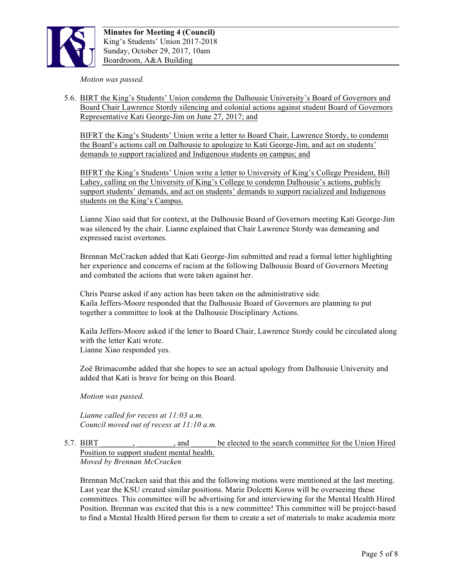

*Motion was passed.*

5.6. BIRT the King's Students' Union condemn the Dalhousie University's Board of Governors and Board Chair Lawrence Stordy silencing and colonial actions against student Board of Governors Representative Kati George-Jim on June 27, 2017; and

BIFRT the King's Students' Union write a letter to Board Chair, Lawrence Stordy, to condemn the Board's actions call on Dalhousie to apologize to Kati George-Jim, and act on students' demands to support racialized and Indigenous students on campus; and

BIFRT the King's Students' Union write a letter to University of King's College President, Bill Lahey, calling on the University of King's College to condemn Dalhousie's actions, publicly support students' demands, and act on students' demands to support racialized and Indigenous students on the King's Campus.

Lianne Xiao said that for context, at the Dalhousie Board of Governors meeting Kati George-Jim was silenced by the chair. Lianne explained that Chair Lawrence Stordy was demeaning and expressed racist overtones.

Brennan McCracken added that Kati George-Jim submitted and read a formal letter highlighting her experience and concerns of racism at the following Dalhousie Board of Governors Meeting and combated the actions that were taken against her.

Chris Pearse asked if any action has been taken on the administrative side. Kaila Jeffers-Moore responded that the Dalhousie Board of Governors are planning to put together a committee to look at the Dalhousie Disciplinary Actions.

Kaila Jeffers-Moore asked if the letter to Board Chair, Lawrence Stordy could be circulated along with the letter Kati wrote. Lianne Xiao responded yes.

Zoë Brimacombe added that she hopes to see an actual apology from Dalhousie University and added that Kati is brave for being on this Board.

*Motion was passed.*

*Lianne called for recess at 11:03 a.m. Council moved out of recess at 11:10 a.m.*

## 5.7. BIRT \_\_\_\_\_\_\_\_, \_\_\_\_\_\_\_\_\_, and \_\_\_\_\_\_ be elected to the search committee for the Union Hired Position to support student mental health. *Moved by Brennan McCracken*

Brennan McCracken said that this and the following motions were mentioned at the last meeting. Last year the KSU created similar positions. Marie Dolcetti Koros will be overseeing these committees. This committee will be advertising for and interviewing for the Mental Health Hired Position. Brennan was excited that this is a new committee! This committee will be project-based to find a Mental Health Hired person for them to create a set of materials to make academia more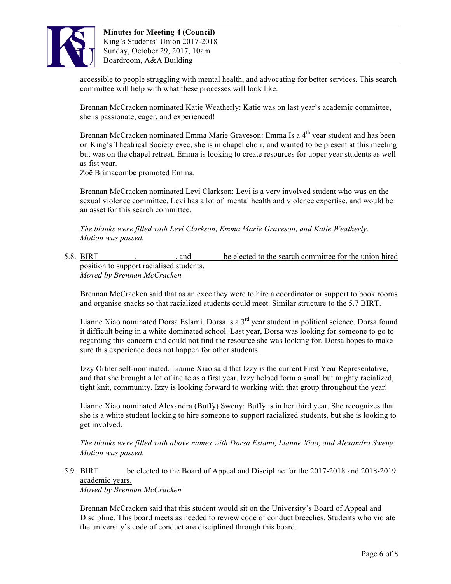

accessible to people struggling with mental health, and advocating for better services. This search committee will help with what these processes will look like.

Brennan McCracken nominated Katie Weatherly: Katie was on last year's academic committee, she is passionate, eager, and experienced!

Brennan McCracken nominated Emma Marie Graveson: Emma Is a 4<sup>th</sup> year student and has been on King's Theatrical Society exec, she is in chapel choir, and wanted to be present at this meeting but was on the chapel retreat. Emma is looking to create resources for upper year students as well as fist year.

Zoë Brimacombe promoted Emma.

Brennan McCracken nominated Levi Clarkson: Levi is a very involved student who was on the sexual violence committee. Levi has a lot of mental health and violence expertise, and would be an asset for this search committee.

*The blanks were filled with Levi Clarkson, Emma Marie Graveson, and Katie Weatherly. Motion was passed.*

5.8. BIRT contains the search committee for the union hired position to support racialised students. *Moved by Brennan McCracken*

Brennan McCracken said that as an exec they were to hire a coordinator or support to book rooms and organise snacks so that racialized students could meet. Similar structure to the 5.7 BIRT.

Lianne Xiao nominated Dorsa Eslami. Dorsa is a  $3<sup>rd</sup>$  year student in political science. Dorsa found it difficult being in a white dominated school. Last year, Dorsa was looking for someone to go to regarding this concern and could not find the resource she was looking for. Dorsa hopes to make sure this experience does not happen for other students.

Izzy Ortner self-nominated. Lianne Xiao said that Izzy is the current First Year Representative, and that she brought a lot of incite as a first year. Izzy helped form a small but mighty racialized, tight knit, community. Izzy is looking forward to working with that group throughout the year!

Lianne Xiao nominated Alexandra (Buffy) Sweny: Buffy is in her third year. She recognizes that she is a white student looking to hire someone to support racialized students, but she is looking to get involved.

*The blanks were filled with above names with Dorsa Eslami, Lianne Xiao, and Alexandra Sweny. Motion was passed.*

#### 5.9. BIRT be elected to the Board of Appeal and Discipline for the 2017-2018 and 2018-2019 academic years. *Moved by Brennan McCracken*

Brennan McCracken said that this student would sit on the University's Board of Appeal and Discipline. This board meets as needed to review code of conduct breeches. Students who violate the university's code of conduct are disciplined through this board.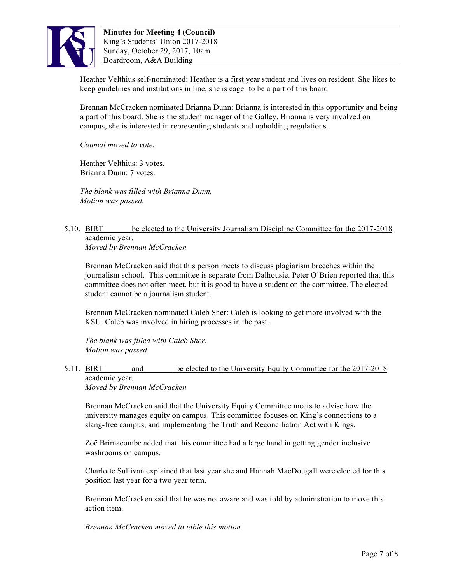

Heather Velthius self-nominated: Heather is a first year student and lives on resident. She likes to keep guidelines and institutions in line, she is eager to be a part of this board.

Brennan McCracken nominated Brianna Dunn: Brianna is interested in this opportunity and being a part of this board. She is the student manager of the Galley, Brianna is very involved on campus, she is interested in representing students and upholding regulations.

*Council moved to vote:*

Heather Velthius: 3 votes. Brianna Dunn: 7 votes.

*The blank was filled with Brianna Dunn. Motion was passed.*

#### 5.10. BIRT be elected to the University Journalism Discipline Committee for the 2017-2018 academic year. *Moved by Brennan McCracken*

Brennan McCracken said that this person meets to discuss plagiarism breeches within the

journalism school. This committee is separate from Dalhousie. Peter O'Brien reported that this committee does not often meet, but it is good to have a student on the committee. The elected student cannot be a journalism student.

Brennan McCracken nominated Caleb Sher: Caleb is looking to get more involved with the KSU. Caleb was involved in hiring processes in the past.

*The blank was filled with Caleb Sher. Motion was passed.*

#### 5.11. BIRT and be elected to the University Equity Committee for the 2017-2018 academic year. *Moved by Brennan McCracken*

Brennan McCracken said that the University Equity Committee meets to advise how the university manages equity on campus. This committee focuses on King's connections to a slang-free campus, and implementing the Truth and Reconciliation Act with Kings.

Zoë Brimacombe added that this committee had a large hand in getting gender inclusive washrooms on campus.

Charlotte Sullivan explained that last year she and Hannah MacDougall were elected for this position last year for a two year term.

Brennan McCracken said that he was not aware and was told by administration to move this action item.

*Brennan McCracken moved to table this motion.*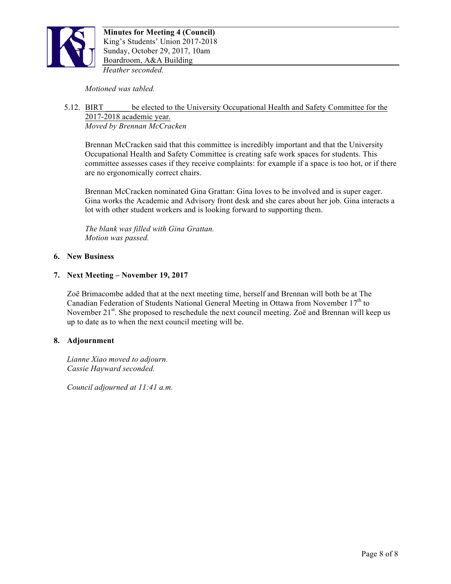

*Motioned was tabled.*

#### 5.12. BIRT \_\_\_\_\_\_ be elected to the University Occupational Health and Safety Committee for the 2017-2018 academic year. *Moved by Brennan McCracken*

Brennan McCracken said that this committee is incredibly important and that the University Occupational Health and Safety Committee is creating safe work spaces for students. This committee assesses cases if they receive complaints: for example if a space is too hot, or if there are no ergonomically correct chairs.

Brennan McCracken nominated Gina Grattan: Gina loves to be involved and is super eager. Gina works the Academic and Advisory front desk and she cares about her job. Gina interacts a lot with other student workers and is looking forward to supporting them.

*The blank was filled with Gina Grattan. Motion was passed.*

# **6. New Business**

# **7. Next Meeting – November 19, 2017**

Zoë Brimacombe added that at the next meeting time, herself and Brennan will both be at The Canadian Federation of Students National General Meeting in Ottawa from November  $17<sup>th</sup>$  to November  $21<sup>st</sup>$ . She proposed to reschedule the next council meeting. Zoë and Brennan will keep us up to date as to when the next council meeting will be.

## **8. Adjournment**

*Lianne Xiao moved to adjourn. Cassie Hayward seconded.*

*Council adjourned at 11:41 a.m.*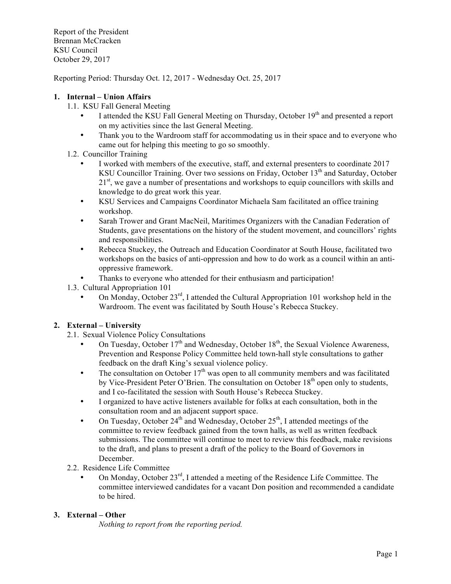Report of the President Brennan McCracken KSU Council October 29, 2017

Reporting Period: Thursday Oct. 12, 2017 - Wednesday Oct. 25, 2017

# **1. Internal – Union Affairs**

- 1.1. KSU Fall General Meeting
	- I attended the KSU Fall General Meeting on Thursday, October 19<sup>th</sup> and presented a report on my activities since the last General Meeting.
	- Thank you to the Wardroom staff for accommodating us in their space and to everyone who came out for helping this meeting to go so smoothly.
- 1.2. Councillor Training
	- I worked with members of the executive, staff, and external presenters to coordinate 2017 KSU Councillor Training. Over two sessions on Friday, October 13<sup>th</sup> and Saturday, October 21<sup>st</sup>, we gave a number of presentations and workshops to equip councillors with skills and knowledge to do great work this year.
	- KSU Services and Campaigns Coordinator Michaela Sam facilitated an office training workshop.
	- Sarah Trower and Grant MacNeil, Maritimes Organizers with the Canadian Federation of Students, gave presentations on the history of the student movement, and councillors' rights and responsibilities.
	- Rebecca Stuckey, the Outreach and Education Coordinator at South House, facilitated two workshops on the basics of anti-oppression and how to do work as a council within an antioppressive framework.
	- Thanks to everyone who attended for their enthusiasm and participation!
- 1.3. Cultural Appropriation 101
	- On Monday, October  $23<sup>rd</sup>$ , I attended the Cultural Appropriation 101 workshop held in the Wardroom. The event was facilitated by South House's Rebecca Stuckey.

#### **2. External – University**

- 2.1. Sexual Violence Policy Consultations
	- On Tuesday, October  $17<sup>th</sup>$  and Wednesday, October  $18<sup>th</sup>$ , the Sexual Violence Awareness, Prevention and Response Policy Committee held town-hall style consultations to gather feedback on the draft King's sexual violence policy.
	- The consultation on October  $17<sup>th</sup>$  was open to all community members and was facilitated by Vice-President Peter O'Brien. The consultation on October  $18<sup>th</sup>$  open only to students, and I co-facilitated the session with South House's Rebecca Stuckey.
	- I organized to have active listeners available for folks at each consultation, both in the consultation room and an adjacent support space.
	- On Tuesday, October 24<sup>th</sup> and Wednesday, October 25<sup>th</sup>, I attended meetings of the committee to review feedback gained from the town halls, as well as written feedback submissions. The committee will continue to meet to review this feedback, make revisions to the draft, and plans to present a draft of the policy to the Board of Governors in December.
- 2.2. Residence Life Committee
	- On Monday, October 23rd, I attended a meeting of the Residence Life Committee. The committee interviewed candidates for a vacant Don position and recommended a candidate to be hired.

# **3. External – Other**

*Nothing to report from the reporting period.*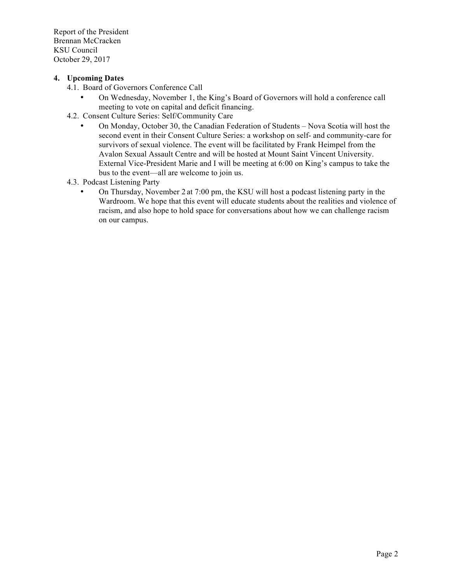Report of the President Brennan McCracken KSU Council October 29, 2017

# **4. Upcoming Dates**

- 4.1. Board of Governors Conference Call
	- On Wednesday, November 1, the King's Board of Governors will hold a conference call meeting to vote on capital and deficit financing.
- 4.2. Consent Culture Series: Self/Community Care
	- On Monday, October 30, the Canadian Federation of Students Nova Scotia will host the second event in their Consent Culture Series: a workshop on self- and community-care for survivors of sexual violence. The event will be facilitated by Frank Heimpel from the Avalon Sexual Assault Centre and will be hosted at Mount Saint Vincent University. External Vice-President Marie and I will be meeting at 6:00 on King's campus to take the bus to the event—all are welcome to join us.
- 4.3. Podcast Listening Party
	- On Thursday, November 2 at 7:00 pm, the KSU will host a podcast listening party in the Wardroom. We hope that this event will educate students about the realities and violence of racism, and also hope to hold space for conversations about how we can challenge racism on our campus.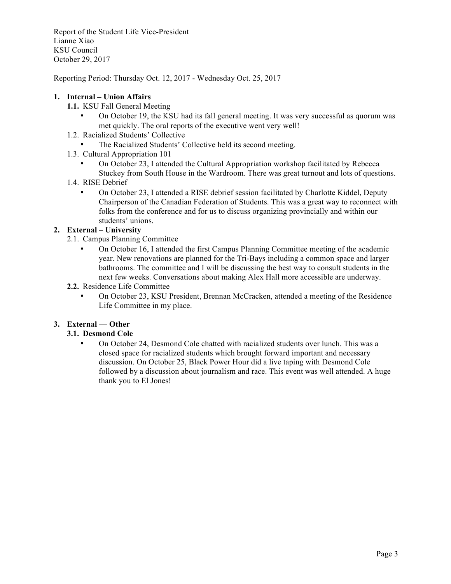Report of the Student Life Vice-President Lianne Xiao KSU Council October 29, 2017

Reporting Period: Thursday Oct. 12, 2017 - Wednesday Oct. 25, 2017

# **1. Internal – Union Affairs**

- **1.1.** KSU Fall General Meeting
	- On October 19, the KSU had its fall general meeting. It was very successful as quorum was met quickly. The oral reports of the executive went very well!
- 1.2. Racialized Students' Collective
	- The Racialized Students' Collective held its second meeting.
- 1.3. Cultural Appropriation 101
	- On October 23, I attended the Cultural Appropriation workshop facilitated by Rebecca Stuckey from South House in the Wardroom. There was great turnout and lots of questions.
- 1.4. RISE Debrief
	- On October 23, I attended a RISE debrief session facilitated by Charlotte Kiddel, Deputy Chairperson of the Canadian Federation of Students. This was a great way to reconnect with folks from the conference and for us to discuss organizing provincially and within our students' unions.

# **2. External – University**

- 2.1. Campus Planning Committee
	- On October 16, I attended the first Campus Planning Committee meeting of the academic year. New renovations are planned for the Tri-Bays including a common space and larger bathrooms. The committee and I will be discussing the best way to consult students in the next few weeks. Conversations about making Alex Hall more accessible are underway.
- **2.2.** Residence Life Committee
	- On October 23, KSU President, Brennan McCracken, attended a meeting of the Residence Life Committee in my place.

# **3. External — Other**

# **3.1. Desmond Cole**

• On October 24, Desmond Cole chatted with racialized students over lunch. This was a closed space for racialized students which brought forward important and necessary discussion. On October 25, Black Power Hour did a live taping with Desmond Cole followed by a discussion about journalism and race. This event was well attended. A huge thank you to El Jones!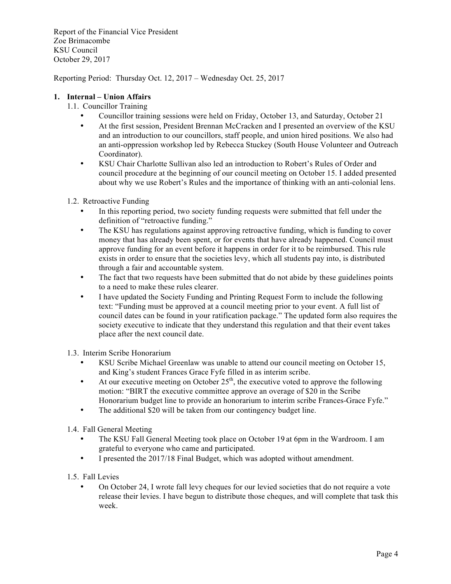Report of the Financial Vice President Zoe Brimacombe KSU Council October 29, 2017

Reporting Period: Thursday Oct. 12, 2017 – Wednesday Oct. 25, 2017

## **1. Internal – Union Affairs**

- 1.1. Councillor Training
	- Councillor training sessions were held on Friday, October 13, and Saturday, October 21
	- At the first session, President Brennan McCracken and I presented an overview of the KSU and an introduction to our councillors, staff people, and union hired positions. We also had an anti-oppression workshop led by Rebecca Stuckey (South House Volunteer and Outreach Coordinator).
	- KSU Chair Charlotte Sullivan also led an introduction to Robert's Rules of Order and council procedure at the beginning of our council meeting on October 15. I added presented about why we use Robert's Rules and the importance of thinking with an anti-colonial lens.

#### 1.2. Retroactive Funding

- In this reporting period, two society funding requests were submitted that fell under the definition of "retroactive funding."
- The KSU has regulations against approving retroactive funding, which is funding to cover money that has already been spent, or for events that have already happened. Council must approve funding for an event before it happens in order for it to be reimbursed. This rule exists in order to ensure that the societies levy, which all students pay into, is distributed through a fair and accountable system.
- The fact that two requests have been submitted that do not abide by these guidelines points to a need to make these rules clearer.
- I have updated the Society Funding and Printing Request Form to include the following text: "Funding must be approved at a council meeting prior to your event. A full list of council dates can be found in your ratification package." The updated form also requires the society executive to indicate that they understand this regulation and that their event takes place after the next council date.
- 1.3. Interim Scribe Honorarium
	- KSU Scribe Michael Greenlaw was unable to attend our council meeting on October 15, and King's student Frances Grace Fyfe filled in as interim scribe.
	- At our executive meeting on October  $25<sup>th</sup>$ , the executive voted to approve the following motion: "BIRT the executive committee approve an overage of \$20 in the Scribe Honorarium budget line to provide an honorarium to interim scribe Frances-Grace Fyfe."
	- The additional \$20 will be taken from our contingency budget line.
- 1.4. Fall General Meeting
	- The KSU Fall General Meeting took place on October 19 at 6pm in the Wardroom. I am grateful to everyone who came and participated.
	- I presented the 2017/18 Final Budget, which was adopted without amendment.
- 1.5. Fall Levies
	- On October 24, I wrote fall levy cheques for our levied societies that do not require a vote release their levies. I have begun to distribute those cheques, and will complete that task this week.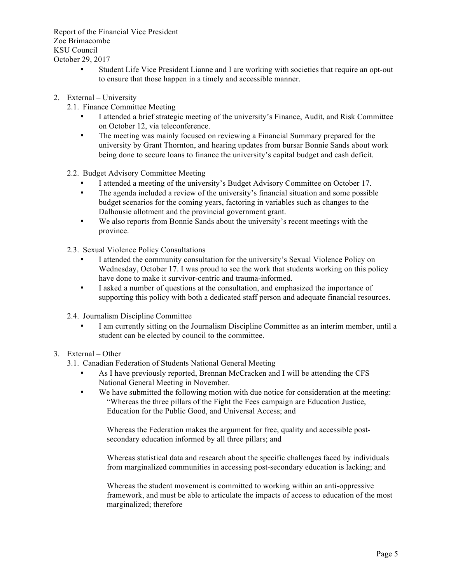Report of the Financial Vice President Zoe Brimacombe KSU Council October 29, 2017

- Student Life Vice President Lianne and I are working with societies that require an opt-out to ensure that those happen in a timely and accessible manner.
- 2. External University
	- 2.1. Finance Committee Meeting
		- I attended a brief strategic meeting of the university's Finance, Audit, and Risk Committee on October 12, via teleconference.
		- The meeting was mainly focused on reviewing a Financial Summary prepared for the university by Grant Thornton, and hearing updates from bursar Bonnie Sands about work being done to secure loans to finance the university's capital budget and cash deficit.
	- 2.2. Budget Advisory Committee Meeting
		- I attended a meeting of the university's Budget Advisory Committee on October 17.
		- The agenda included a review of the university's financial situation and some possible budget scenarios for the coming years, factoring in variables such as changes to the Dalhousie allotment and the provincial government grant.
		- We also reports from Bonnie Sands about the university's recent meetings with the province.
	- 2.3. Sexual Violence Policy Consultations
		- I attended the community consultation for the university's Sexual Violence Policy on Wednesday, October 17. I was proud to see the work that students working on this policy have done to make it survivor-centric and trauma-informed.
		- I asked a number of questions at the consultation, and emphasized the importance of supporting this policy with both a dedicated staff person and adequate financial resources.
	- 2.4. Journalism Discipline Committee
		- I am currently sitting on the Journalism Discipline Committee as an interim member, until a student can be elected by council to the committee.

## 3. External – Other

- 3.1. Canadian Federation of Students National General Meeting
	- As I have previously reported, Brennan McCracken and I will be attending the CFS National General Meeting in November.
	- We have submitted the following motion with due notice for consideration at the meeting: "Whereas the three pillars of the Fight the Fees campaign are Education Justice, Education for the Public Good, and Universal Access; and

Whereas the Federation makes the argument for free, quality and accessible postsecondary education informed by all three pillars; and

Whereas statistical data and research about the specific challenges faced by individuals from marginalized communities in accessing post-secondary education is lacking; and

Whereas the student movement is committed to working within an anti-oppressive framework, and must be able to articulate the impacts of access to education of the most marginalized; therefore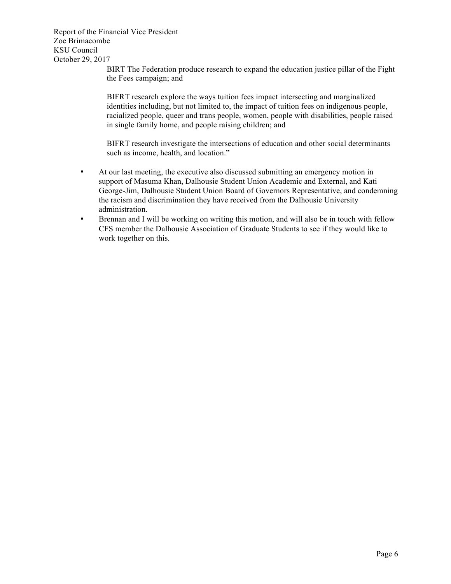Report of the Financial Vice President Zoe Brimacombe KSU Council October 29, 2017

BIRT The Federation produce research to expand the education justice pillar of the Fight the Fees campaign; and

BIFRT research explore the ways tuition fees impact intersecting and marginalized identities including, but not limited to, the impact of tuition fees on indigenous people, racialized people, queer and trans people, women, people with disabilities, people raised in single family home, and people raising children; and

BIFRT research investigate the intersections of education and other social determinants such as income, health, and location."

- At our last meeting, the executive also discussed submitting an emergency motion in support of Masuma Khan, Dalhousie Student Union Academic and External, and Kati George-Jim, Dalhousie Student Union Board of Governors Representative, and condemning the racism and discrimination they have received from the Dalhousie University administration.
- Brennan and I will be working on writing this motion, and will also be in touch with fellow CFS member the Dalhousie Association of Graduate Students to see if they would like to work together on this.